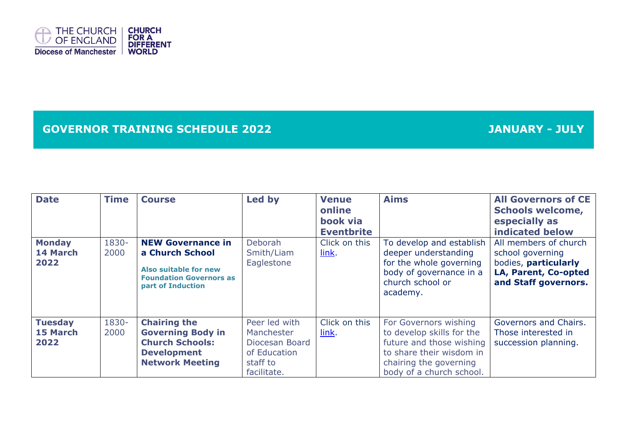

## **GOVERNOR TRAINING SCHEDULE 2022 JANUARY - JULY**

| <b>Date</b>                        | <b>Time</b>   | <b>Course</b>                                                                                                               | Led by                                                                                   | <b>Venue</b><br>online<br>book via<br><b>Eventbrite</b> | <b>Aims</b>                                                                                                                                                      | <b>All Governors of CE</b><br><b>Schools welcome,</b><br>especially as<br>indicated below                         |
|------------------------------------|---------------|-----------------------------------------------------------------------------------------------------------------------------|------------------------------------------------------------------------------------------|---------------------------------------------------------|------------------------------------------------------------------------------------------------------------------------------------------------------------------|-------------------------------------------------------------------------------------------------------------------|
| <b>Monday</b><br>14 March<br>2022  | 1830-<br>2000 | <b>NEW Governance in</b><br>a Church School<br>Also suitable for new<br><b>Foundation Governors as</b><br>part of Induction | <b>Deborah</b><br>Smith/Liam<br>Eaglestone                                               | Click on this<br>link.                                  | To develop and establish<br>deeper understanding<br>for the whole governing<br>body of governance in a<br>church school or<br>academy.                           | All members of church<br>school governing<br>bodies, particularly<br>LA, Parent, Co-opted<br>and Staff governors. |
| <b>Tuesday</b><br>15 March<br>2022 | 1830-<br>2000 | <b>Chairing the</b><br><b>Governing Body in</b><br><b>Church Schools:</b><br><b>Development</b><br><b>Network Meeting</b>   | Peer led with<br>Manchester<br>Diocesan Board<br>of Education<br>staff to<br>facilitate. | Click on this<br>link.                                  | For Governors wishing<br>to develop skills for the<br>future and those wishing<br>to share their wisdom in<br>chairing the governing<br>body of a church school. | Governors and Chairs.<br>Those interested in<br>succession planning.                                              |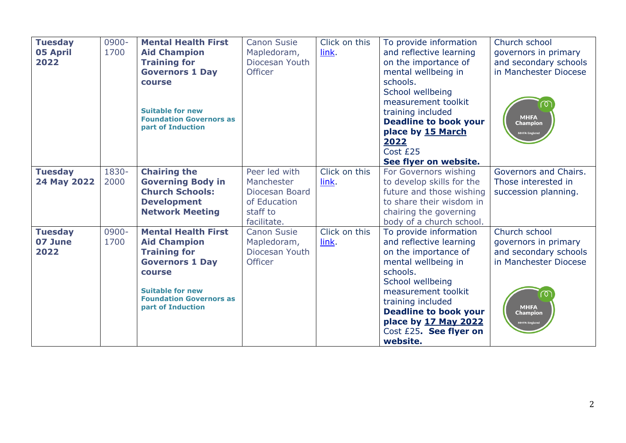| <b>Tuesday</b><br><b>05 April</b><br>2022 | 0900-<br>1700 | <b>Mental Health First</b><br><b>Aid Champion</b><br><b>Training for</b><br><b>Governors 1 Day</b><br>course<br><b>Suitable for new</b><br><b>Foundation Governors as</b><br>part of Induction        | <b>Canon Susie</b><br>Mapledoram,<br>Diocesan Youth<br><b>Officer</b>                    | Click on this<br>link. | To provide information<br>and reflective learning<br>on the importance of<br>mental wellbeing in<br>schools.<br>School wellbeing<br>measurement toolkit<br>training included<br><b>Deadline to book your</b><br>place by 15 March<br>2022<br>Cost £25<br>See flyer on website. | Church school<br>governors in primary<br>and secondary schools<br>in Manchester Diocese<br>ര<br><b>MHFA</b><br><b>Champion</b><br><b>MHFA England</b> |
|-------------------------------------------|---------------|-------------------------------------------------------------------------------------------------------------------------------------------------------------------------------------------------------|------------------------------------------------------------------------------------------|------------------------|--------------------------------------------------------------------------------------------------------------------------------------------------------------------------------------------------------------------------------------------------------------------------------|-------------------------------------------------------------------------------------------------------------------------------------------------------|
| <b>Tuesday</b><br>24 May 2022             | 1830-<br>2000 | <b>Chairing the</b><br><b>Governing Body in</b><br><b>Church Schools:</b><br><b>Development</b><br><b>Network Meeting</b>                                                                             | Peer led with<br>Manchester<br>Diocesan Board<br>of Education<br>staff to<br>facilitate. | Click on this<br>link. | For Governors wishing<br>to develop skills for the<br>future and those wishing<br>to share their wisdom in<br>chairing the governing<br>body of a church school.                                                                                                               | Governors and Chairs.<br>Those interested in<br>succession planning.                                                                                  |
| <b>Tuesday</b><br>07 June<br>2022         | 0900-<br>1700 | <b>Mental Health First</b><br><b>Aid Champion</b><br><b>Training for</b><br><b>Governors 1 Day</b><br><b>course</b><br><b>Suitable for new</b><br><b>Foundation Governors as</b><br>part of Induction | <b>Canon Susie</b><br>Mapledoram,<br>Diocesan Youth<br><b>Officer</b>                    | Click on this<br>link. | To provide information<br>and reflective learning<br>on the importance of<br>mental wellbeing in<br>schools.<br>School wellbeing<br>measurement toolkit<br>training included<br><b>Deadline to book your</b><br>place by 17 May 2022<br>Cost £25. See flyer on<br>website.     | Church school<br>governors in primary<br>and secondary schools<br>in Manchester Diocese<br><b>MHFA</b><br><b>Champion</b><br><b>MHFA England</b>      |